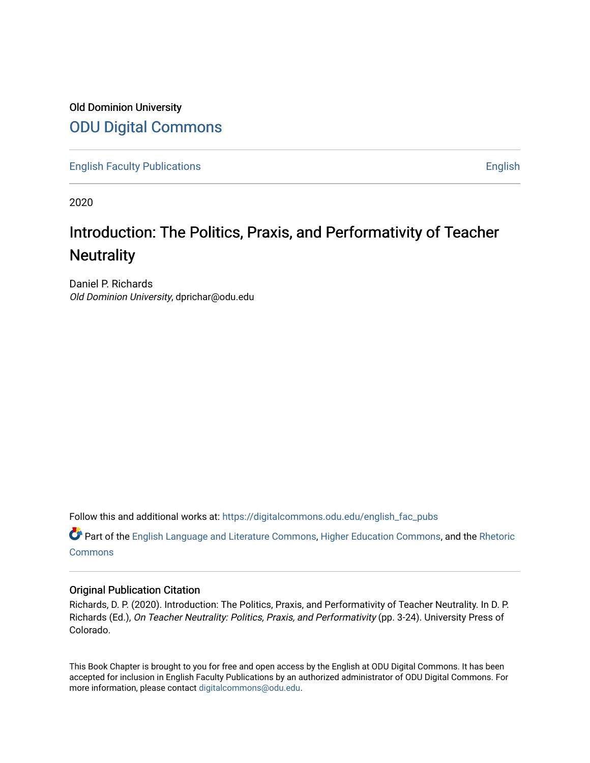Old Dominion University [ODU Digital Commons](https://digitalcommons.odu.edu/) 

[English Faculty Publications](https://digitalcommons.odu.edu/english_fac_pubs) **English** English

2020

# Introduction: The Politics, Praxis, and Performativity of Teacher **Neutrality**

Daniel P. Richards Old Dominion University, dprichar@odu.edu

Follow this and additional works at: [https://digitalcommons.odu.edu/english\\_fac\\_pubs](https://digitalcommons.odu.edu/english_fac_pubs?utm_source=digitalcommons.odu.edu%2Fenglish_fac_pubs%2F187&utm_medium=PDF&utm_campaign=PDFCoverPages) 

Part of the [English Language and Literature Commons](http://network.bepress.com/hgg/discipline/455?utm_source=digitalcommons.odu.edu%2Fenglish_fac_pubs%2F187&utm_medium=PDF&utm_campaign=PDFCoverPages), [Higher Education Commons,](http://network.bepress.com/hgg/discipline/1245?utm_source=digitalcommons.odu.edu%2Fenglish_fac_pubs%2F187&utm_medium=PDF&utm_campaign=PDFCoverPages) and the [Rhetoric](http://network.bepress.com/hgg/discipline/575?utm_source=digitalcommons.odu.edu%2Fenglish_fac_pubs%2F187&utm_medium=PDF&utm_campaign=PDFCoverPages) [Commons](http://network.bepress.com/hgg/discipline/575?utm_source=digitalcommons.odu.edu%2Fenglish_fac_pubs%2F187&utm_medium=PDF&utm_campaign=PDFCoverPages)

### Original Publication Citation

Richards, D. P. (2020). Introduction: The Politics, Praxis, and Performativity of Teacher Neutrality. In D. P. Richards (Ed.), On Teacher Neutrality: Politics, Praxis, and Performativity (pp. 3-24). University Press of Colorado.

This Book Chapter is brought to you for free and open access by the English at ODU Digital Commons. It has been accepted for inclusion in English Faculty Publications by an authorized administrator of ODU Digital Commons. For more information, please contact [digitalcommons@odu.edu.](mailto:digitalcommons@odu.edu)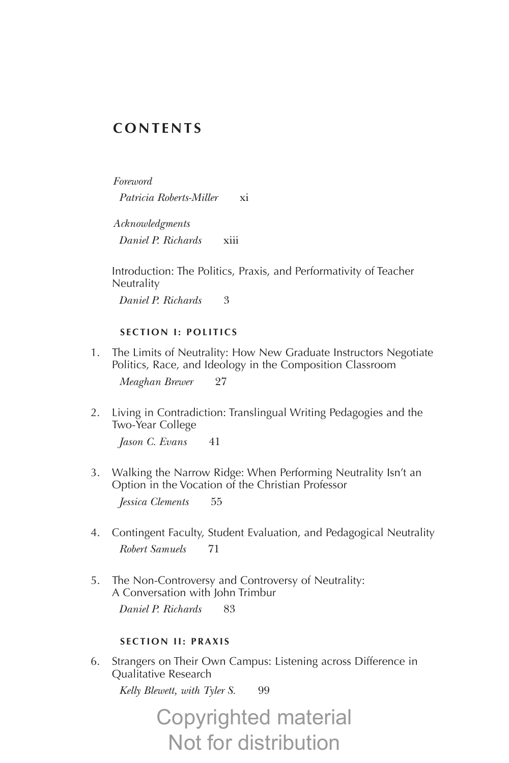### **CONTENTS**

*Foreword*

*Patricia Roberts-Miller* xi

*Acknowledgments Daniel P. Richards* xiii

Introduction: The Politics, Praxis, and Performativity of Teacher **Neutrality** 

*Daniel P. Richards* 3

### **SECTION I: POLITICS**

1. The Limits of Neutrality: How New Graduate Instructors Negotiate Politics, Race, and Ideology in the Composition Classroom

*Meaghan Brewer* 27

2. Living in Contradiction: Translingual Writing Pedagogies and the Two-Year College

*Jason C. Evans* 41

- 3. Walking the Narrow Ridge: When Performing Neutrality Isn't an Option in the Vocation of the Christian Professor *Jessica Clements* 55
- 4. Contingent Faculty, Student Evaluation, and Pedagogical Neutrality *Robert Samuels* 71
- 5. The Non-Controversy and Controversy of Neutrality: A Conversation with John Trimbur *Daniel P. Richards* 83

### **SECTION II: PRAXIS**

6. Strangers on Their Own Campus: Listening across Difference in Qualitative Research

*Kelly Blewett, with Tyler S.* 99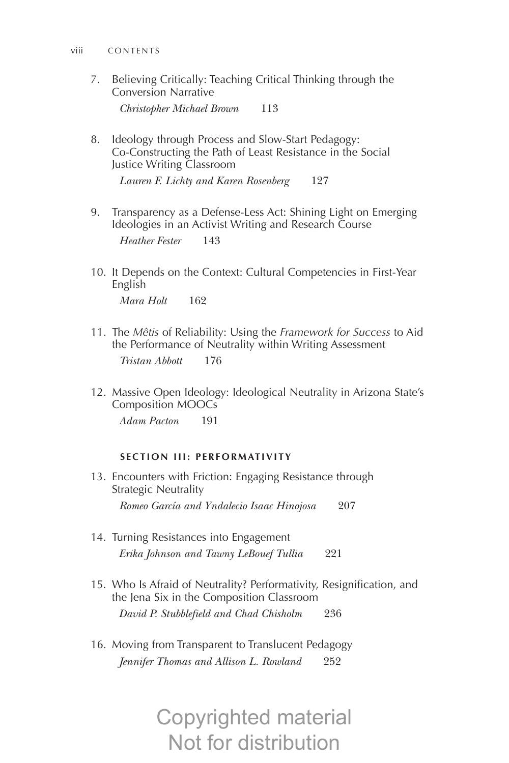7. Believing Critically: Teaching Critical Thinking through the Conversion Narrative

*Christopher Michael Brown* 113

8. Ideology through Process and Slow-Start Pedagogy: Co-Constructing the Path of Least Resistance in the Social Justice Writing Classroom

*Lauren F. Lichty and Karen Rosenberg* 127

- 9. Transparency as a Defense-Less Act: Shining Light on Emerging Ideologies in an Activist Writing and Research Course *Heather Fester* 143
- 10. It Depends on the Context: Cultural Competencies in First-Year English

*Mara Holt* 162

11. The *Mêtis* of Reliability: Using the *Framework for Success* to Aid the Performance of Neutrality within Writing Assessment

*Tristan Abbott* 176

12. Massive Open Ideology: Ideological Neutrality in Arizona State's Composition MOOCs

*Adam Pacton* 191

### **SECTION III: PERFORMATIVITY**

- 13. Encounters with Friction: Engaging Resistance through Strategic Neutrality *Romeo García and Yndalecio Isaac Hinojosa* 207
- 14. Turning Resistances into Engagement *Erika Johnson and Tawny LeBouef Tullia* 221
- 15. Who Is Afraid of Neutrality? Performativity, Resignification, and the Jena Six in the Composition Classroom *David P. Stubblefield and Chad Chisholm* 236
- 16. Moving from Transparent to Translucent Pedagogy *Jennifer Thomas and Allison L. Rowland* 252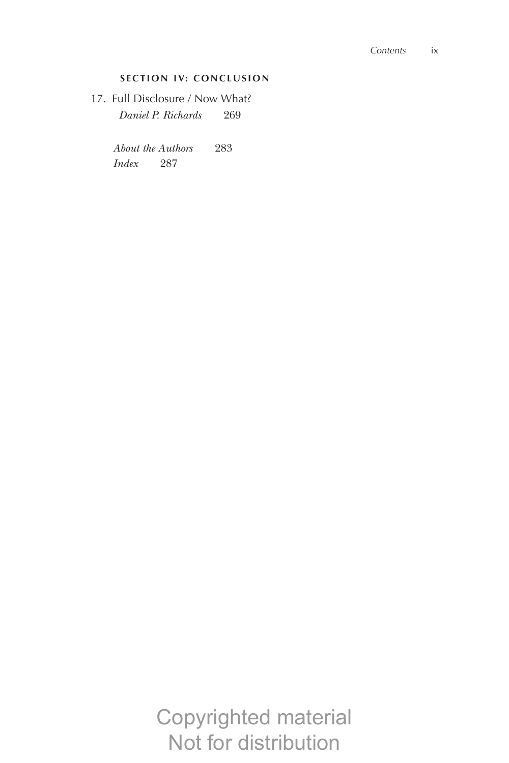### **SECTION IV: CONCLUSION**

17. Full Disclosure / Now What? *Daniel P. Richards* 269

> *About the Authors* 283 *Index* 287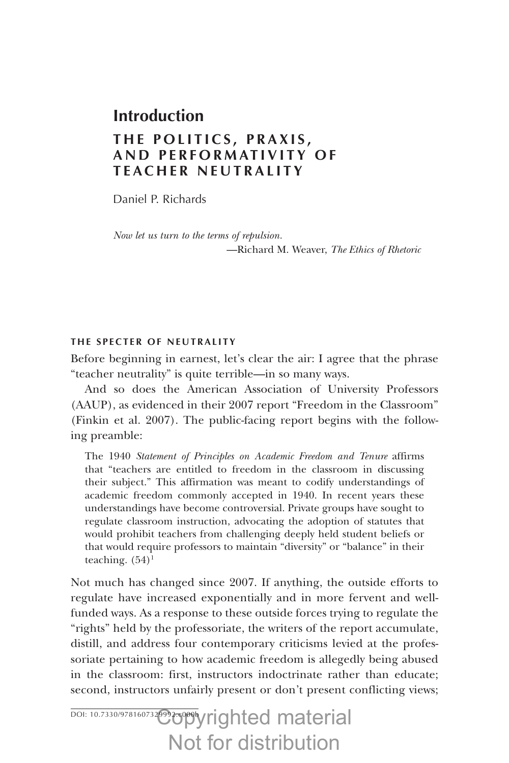### **Introduction THE POLITICS, PRAXIS, AND PERFORMATIVITY OF TEACHER NEUTRALITY**

Daniel P. Richards

*Now let us turn to the terms of repulsion.* —Richard M. Weaver, *The Ethics of Rhetoric*

### **THE SPECTER OF NEUTRALITY**

Before beginning in earnest, let's clear the air: I agree that the phrase "teacher neutrality" is quite terrible—in so many ways.

And so does the American Association of University Professors (AAUP), as evidenced in their 2007 report "Freedom in the Classroom" (Finkin et al. 2007). The public-facing report begins with the following preamble:

The 1940 *Statement of Principles on Academic Freedom and Tenure* affirms that "teachers are entitled to freedom in the classroom in discussing their subject." This affirmation was meant to codify understandings of academic freedom commonly accepted in 1940. In recent years these understandings have become controversial. Private groups have sought to regulate classroom instruction, advocating the adoption of statutes that would prohibit teachers from challenging deeply held student beliefs or that would require professors to maintain "diversity" or "balance" in their teaching.  $(54)^1$ 

Not much has changed since 2007. If anything, the outside efforts to regulate have increased exponentially and in more fervent and wellfunded ways. As a response to these outside forces trying to regulate the "rights" held by the professoriate, the writers of the report accumulate, distill, and address four contemporary criticisms levied at the professoriate pertaining to how academic freedom is allegedly being abused in the classroom: first, instructors indoctrinate rather than educate; second, instructors unfairly present or don't present conflicting views;

DOI: 10.7330/97816073209920pyyrighted material Not for distribution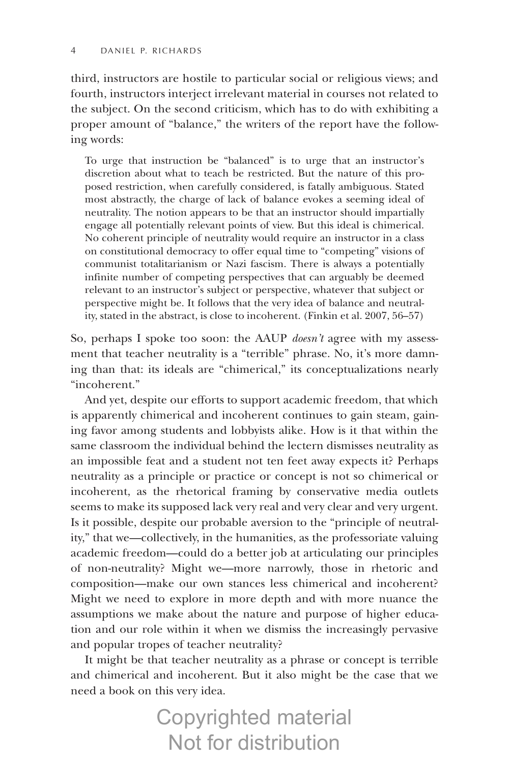third, instructors are hostile to particular social or religious views; and fourth, instructors interject irrelevant material in courses not related to the subject. On the second criticism, which has to do with exhibiting a proper amount of "balance," the writers of the report have the following words:

To urge that instruction be "balanced" is to urge that an instructor's discretion about what to teach be restricted. But the nature of this proposed restriction, when carefully considered, is fatally ambiguous. Stated most abstractly, the charge of lack of balance evokes a seeming ideal of neutrality. The notion appears to be that an instructor should impartially engage all potentially relevant points of view. But this ideal is chimerical. No coherent principle of neutrality would require an instructor in a class on constitutional democracy to offer equal time to "competing" visions of communist totalitarianism or Nazi fascism. There is always a potentially infinite number of competing perspectives that can arguably be deemed relevant to an instructor's subject or perspective, whatever that subject or perspective might be. It follows that the very idea of balance and neutrality, stated in the abstract, is close to incoherent. (Finkin et al. 2007, 56–57)

So, perhaps I spoke too soon: the AAUP *doesn't* agree with my assessment that teacher neutrality is a "terrible" phrase. No, it's more damning than that: its ideals are "chimerical," its conceptualizations nearly "incoherent."

And yet, despite our efforts to support academic freedom, that which is apparently chimerical and incoherent continues to gain steam, gaining favor among students and lobbyists alike. How is it that within the same classroom the individual behind the lectern dismisses neutrality as an impossible feat and a student not ten feet away expects it? Perhaps neutrality as a principle or practice or concept is not so chimerical or incoherent, as the rhetorical framing by conservative media outlets seems to make its supposed lack very real and very clear and very urgent. Is it possible, despite our probable aversion to the "principle of neutrality," that we—collectively, in the humanities, as the professoriate valuing academic freedom—could do a better job at articulating our principles of non-neutrality? Might we—more narrowly, those in rhetoric and composition—make our own stances less chimerical and incoherent? Might we need to explore in more depth and with more nuance the assumptions we make about the nature and purpose of higher education and our role within it when we dismiss the increasingly pervasive and popular tropes of teacher neutrality?

It might be that teacher neutrality as a phrase or concept is terrible and chimerical and incoherent. But it also might be the case that we need a book on this very idea.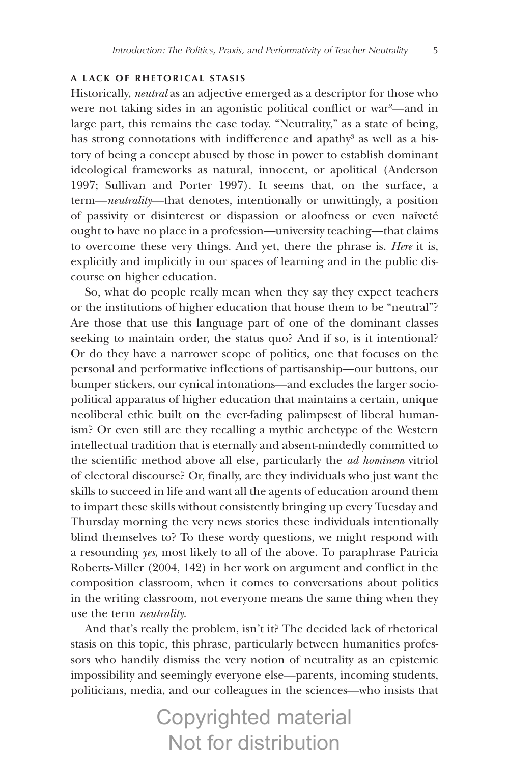### **A LACK OF RHETORICAL STASIS**

Historically, *neutral* as an adjective emerged as a descriptor for those who were not taking sides in an agonistic political conflict or war<sup>2</sup>—and in large part, this remains the case today. "Neutrality," as a state of being, has strong connotations with indifference and apathy<sup>3</sup> as well as a history of being a concept abused by those in power to establish dominant ideological frameworks as natural, innocent, or apolitical (Anderson 1997; Sullivan and Porter 1997). It seems that, on the surface, a term—*neutrality*—that denotes, intentionally or unwittingly, a position of passivity or disinterest or dispassion or aloofness or even naïveté ought to have no place in a profession—university teaching—that claims to overcome these very things. And yet, there the phrase is. *Here* it is, explicitly and implicitly in our spaces of learning and in the public discourse on higher education.

So, what do people really mean when they say they expect teachers or the institutions of higher education that house them to be "neutral"? Are those that use this language part of one of the dominant classes seeking to maintain order, the status quo? And if so, is it intentional? Or do they have a narrower scope of politics, one that focuses on the personal and performative inflections of partisanship—our buttons, our bumper stickers, our cynical intonations—and excludes the larger sociopolitical apparatus of higher education that maintains a certain, unique neoliberal ethic built on the ever-fading palimpsest of liberal humanism? Or even still are they recalling a mythic archetype of the Western intellectual tradition that is eternally and absent-mindedly committed to the scientific method above all else, particularly the *ad hominem* vitriol of electoral discourse? Or, finally, are they individuals who just want the skills to succeed in life and want all the agents of education around them to impart these skills without consistently bringing up every Tuesday and Thursday morning the very news stories these individuals intentionally blind themselves to? To these wordy questions, we might respond with a resounding *yes*, most likely to all of the above. To paraphrase Patricia Roberts-Miller (2004, 142) in her work on argument and conflict in the composition classroom, when it comes to conversations about politics in the writing classroom, not everyone means the same thing when they use the term *neutrality*.

And that's really the problem, isn't it? The decided lack of rhetorical stasis on this topic, this phrase, particularly between humanities professors who handily dismiss the very notion of neutrality as an epistemic impossibility and seemingly everyone else—parents, incoming students, politicians, media, and our colleagues in the sciences—who insists that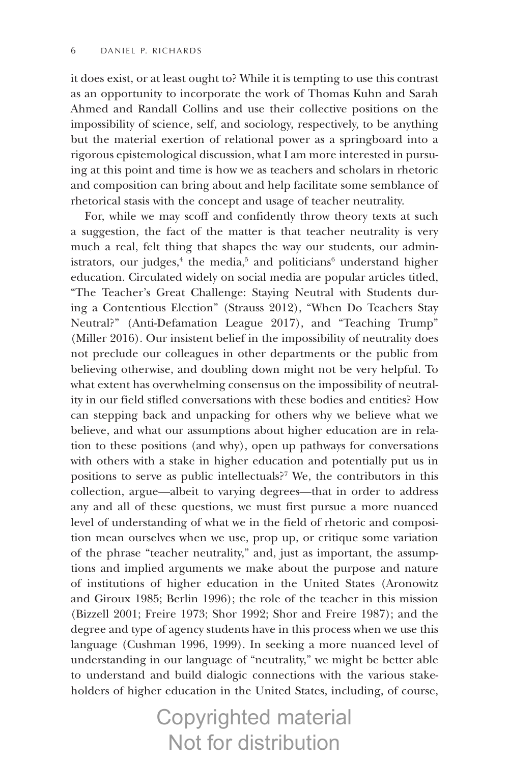it does exist, or at least ought to? While it is tempting to use this contrast as an opportunity to incorporate the work of Thomas Kuhn and Sarah Ahmed and Randall Collins and use their collective positions on the impossibility of science, self, and sociology, respectively, to be anything but the material exertion of relational power as a springboard into a rigorous epistemological discussion, what I am more interested in pursuing at this point and time is how we as teachers and scholars in rhetoric and composition can bring about and help facilitate some semblance of rhetorical stasis with the concept and usage of teacher neutrality.

For, while we may scoff and confidently throw theory texts at such a suggestion, the fact of the matter is that teacher neutrality is very much a real, felt thing that shapes the way our students, our administrators, our judges, $4$  the media, $5$  and politicians $6$  understand higher education. Circulated widely on social media are popular articles titled, "The Teacher's Great Challenge: Staying Neutral with Students during a Contentious Election" (Strauss 2012), "When Do Teachers Stay Neutral?" (Anti-Defamation League 2017), and "Teaching Trump" (Miller 2016). Our insistent belief in the impossibility of neutrality does not preclude our colleagues in other departments or the public from believing otherwise, and doubling down might not be very helpful. To what extent has overwhelming consensus on the impossibility of neutrality in our field stifled conversations with these bodies and entities? How can stepping back and unpacking for others why we believe what we believe, and what our assumptions about higher education are in relation to these positions (and why), open up pathways for conversations with others with a stake in higher education and potentially put us in positions to serve as public intellectuals?<sup>7</sup> We, the contributors in this collection, argue—albeit to varying degrees—that in order to address any and all of these questions, we must first pursue a more nuanced level of understanding of what we in the field of rhetoric and composition mean ourselves when we use, prop up, or critique some variation of the phrase "teacher neutrality," and, just as important, the assumptions and implied arguments we make about the purpose and nature of institutions of higher education in the United States (Aronowitz and Giroux 1985; Berlin 1996); the role of the teacher in this mission (Bizzell 2001; Freire 1973; Shor 1992; Shor and Freire 1987); and the degree and type of agency students have in this process when we use this language (Cushman 1996, 1999). In seeking a more nuanced level of understanding in our language of "neutrality," we might be better able to understand and build dialogic connections with the various stakeholders of higher education in the United States, including, of course,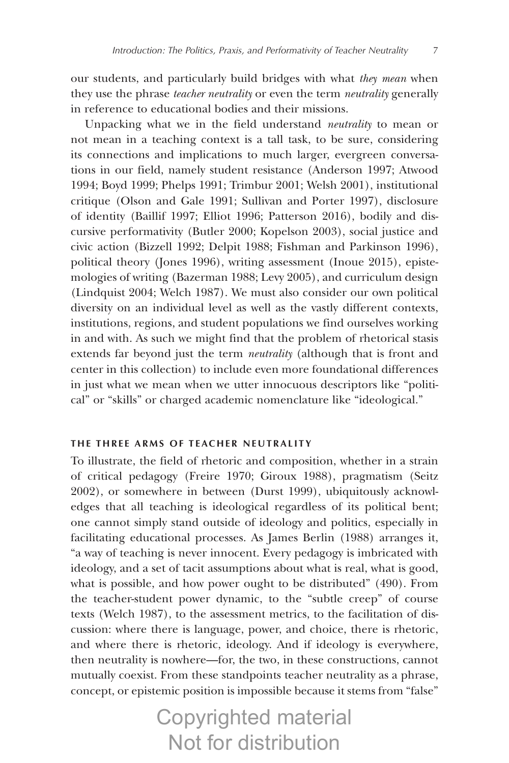our students, and particularly build bridges with what *they mean* when they use the phrase *teacher neutrality* or even the term *neutrality* generally in reference to educational bodies and their missions.

Unpacking what we in the field understand *neutrality* to mean or not mean in a teaching context is a tall task, to be sure, considering its connections and implications to much larger, evergreen conversations in our field, namely student resistance (Anderson 1997; Atwood 1994; Boyd 1999; Phelps 1991; Trimbur 2001; Welsh 2001), institutional critique (Olson and Gale 1991; Sullivan and Porter 1997), disclosure of identity (Baillif 1997; Elliot 1996; Patterson 2016), bodily and discursive performativity (Butler 2000; Kopelson 2003), social justice and civic action (Bizzell 1992; Delpit 1988; Fishman and Parkinson 1996), political theory (Jones 1996), writing assessment (Inoue 2015), epistemologies of writing (Bazerman 1988; Levy 2005), and curriculum design (Lindquist 2004; Welch 1987). We must also consider our own political diversity on an individual level as well as the vastly different contexts, institutions, regions, and student populations we find ourselves working in and with. As such we might find that the problem of rhetorical stasis extends far beyond just the term *neutrality* (although that is front and center in this collection) to include even more foundational differences in just what we mean when we utter innocuous descriptors like "political" or "skills" or charged academic nomenclature like "ideological."

### **THE THREE ARMS OF TEACHER NEUTRALITY**

To illustrate, the field of rhetoric and composition, whether in a strain of critical pedagogy (Freire 1970; Giroux 1988), pragmatism (Seitz 2002), or somewhere in between (Durst 1999), ubiquitously acknowledges that all teaching is ideological regardless of its political bent; one cannot simply stand outside of ideology and politics, especially in facilitating educational processes. As James Berlin (1988) arranges it, "a way of teaching is never innocent. Every pedagogy is imbricated with ideology, and a set of tacit assumptions about what is real, what is good, what is possible, and how power ought to be distributed" (490). From the teacher-student power dynamic, to the "subtle creep" of course texts (Welch 1987), to the assessment metrics, to the facilitation of discussion: where there is language, power, and choice, there is rhetoric, and where there is rhetoric, ideology. And if ideology is everywhere, then neutrality is nowhere—for, the two, in these constructions, cannot mutually coexist. From these standpoints teacher neutrality as a phrase, concept, or epistemic position is impossible because it stems from "false"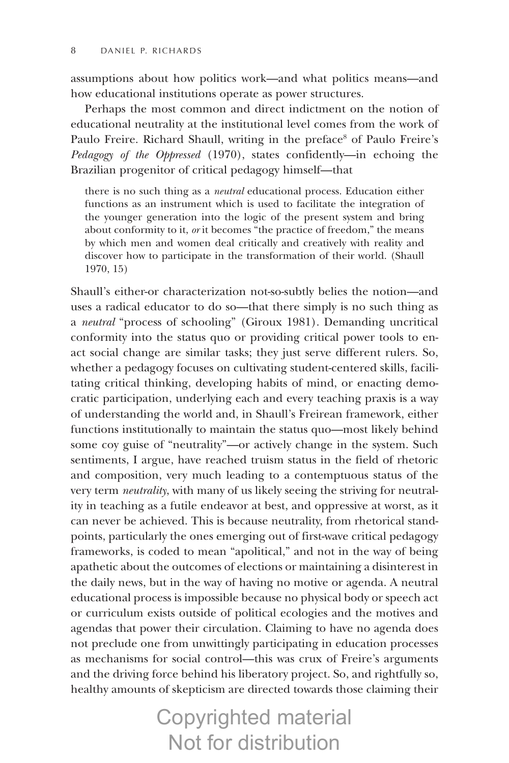assumptions about how politics work—and what politics means—and how educational institutions operate as power structures.

Perhaps the most common and direct indictment on the notion of educational neutrality at the institutional level comes from the work of Paulo Freire. Richard Shaull, writing in the preface<sup>8</sup> of Paulo Freire's *Pedagogy of the Oppressed* (1970), states confidently—in echoing the Brazilian progenitor of critical pedagogy himself—that

there is no such thing as a *neutral* educational process. Education either functions as an instrument which is used to facilitate the integration of the younger generation into the logic of the present system and bring about conformity to it, *or* it becomes "the practice of freedom," the means by which men and women deal critically and creatively with reality and discover how to participate in the transformation of their world. (Shaull 1970, 15)

Shaull's either-or characterization not-so-subtly belies the notion—and uses a radical educator to do so—that there simply is no such thing as a *neutral* "process of schooling" (Giroux 1981). Demanding uncritical conformity into the status quo or providing critical power tools to enact social change are similar tasks; they just serve different rulers. So, whether a pedagogy focuses on cultivating student-centered skills, facilitating critical thinking, developing habits of mind, or enacting democratic participation, underlying each and every teaching praxis is a way of understanding the world and, in Shaull's Freirean framework, either functions institutionally to maintain the status quo—most likely behind some coy guise of "neutrality"—or actively change in the system. Such sentiments, I argue, have reached truism status in the field of rhetoric and composition, very much leading to a contemptuous status of the very term *neutrality*, with many of us likely seeing the striving for neutrality in teaching as a futile endeavor at best, and oppressive at worst, as it can never be achieved. This is because neutrality, from rhetorical standpoints, particularly the ones emerging out of first-wave critical pedagogy frameworks, is coded to mean "apolitical," and not in the way of being apathetic about the outcomes of elections or maintaining a disinterest in the daily news, but in the way of having no motive or agenda. A neutral educational process is impossible because no physical body or speech act or curriculum exists outside of political ecologies and the motives and agendas that power their circulation. Claiming to have no agenda does not preclude one from unwittingly participating in education processes as mechanisms for social control—this was crux of Freire's arguments and the driving force behind his liberatory project. So, and rightfully so, healthy amounts of skepticism are directed towards those claiming their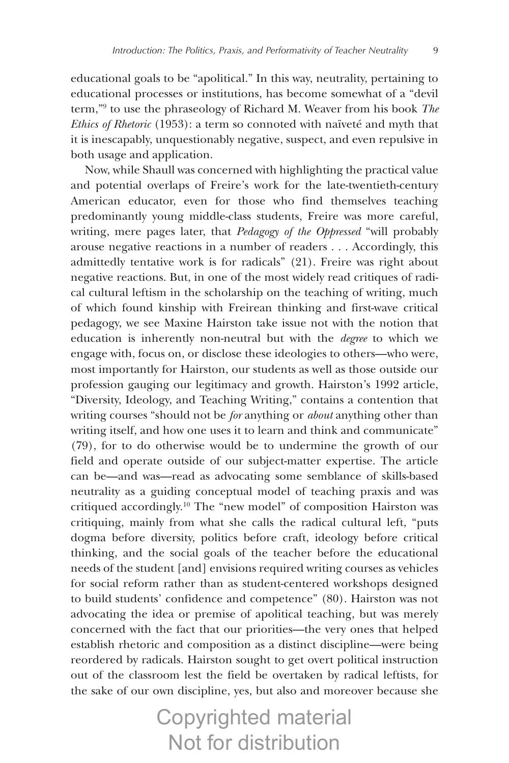educational goals to be "apolitical." In this way, neutrality, pertaining to educational processes or institutions, has become somewhat of a "devil term,"9 to use the phraseology of Richard M. Weaver from his book *The Ethics of Rhetoric* (1953): a term so connoted with naïveté and myth that it is inescapably, unquestionably negative, suspect, and even repulsive in both usage and application.

Now, while Shaull was concerned with highlighting the practical value and potential overlaps of Freire's work for the late-twentieth-century American educator, even for those who find themselves teaching predominantly young middle-class students, Freire was more careful, writing, mere pages later, that *Pedagogy of the Oppressed* "will probably arouse negative reactions in a number of readers . . . Accordingly, this admittedly tentative work is for radicals" (21). Freire was right about negative reactions. But, in one of the most widely read critiques of radical cultural leftism in the scholarship on the teaching of writing, much of which found kinship with Freirean thinking and first-wave critical pedagogy, we see Maxine Hairston take issue not with the notion that education is inherently non-neutral but with the *degree* to which we engage with, focus on, or disclose these ideologies to others—who were, most importantly for Hairston, our students as well as those outside our profession gauging our legitimacy and growth. Hairston's 1992 article, "Diversity, Ideology, and Teaching Writing," contains a contention that writing courses "should not be *for* anything or *about* anything other than writing itself, and how one uses it to learn and think and communicate" (79), for to do otherwise would be to undermine the growth of our field and operate outside of our subject-matter expertise. The article can be—and was—read as advocating some semblance of skills-based neutrality as a guiding conceptual model of teaching praxis and was critiqued accordingly.10 The "new model" of composition Hairston was critiquing, mainly from what she calls the radical cultural left, "puts dogma before diversity, politics before craft, ideology before critical thinking, and the social goals of the teacher before the educational needs of the student [and] envisions required writing courses as vehicles for social reform rather than as student-centered workshops designed to build students' confidence and competence" (80). Hairston was not advocating the idea or premise of apolitical teaching, but was merely concerned with the fact that our priorities—the very ones that helped establish rhetoric and composition as a distinct discipline—were being reordered by radicals. Hairston sought to get overt political instruction out of the classroom lest the field be overtaken by radical leftists, for the sake of our own discipline, yes, but also and moreover because she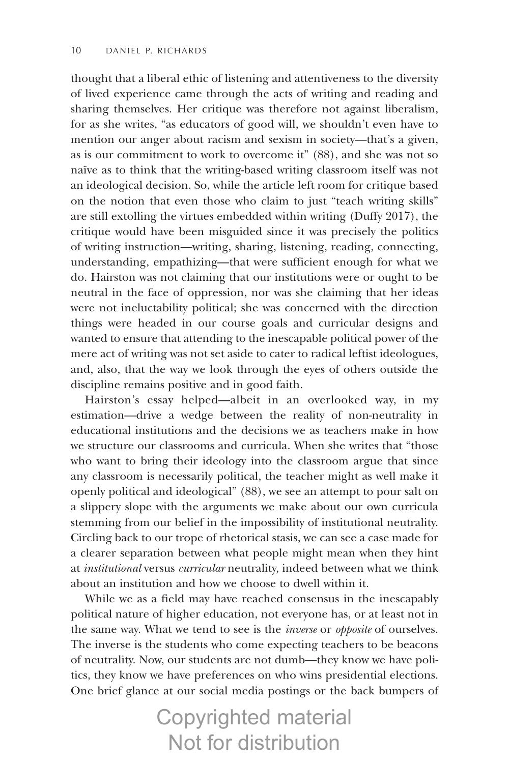thought that a liberal ethic of listening and attentiveness to the diversity of lived experience came through the acts of writing and reading and sharing themselves. Her critique was therefore not against liberalism, for as she writes, "as educators of good will, we shouldn't even have to mention our anger about racism and sexism in society—that's a given, as is our commitment to work to overcome it" (88), and she was not so naïve as to think that the writing-based writing classroom itself was not an ideological decision. So, while the article left room for critique based on the notion that even those who claim to just "teach writing skills" are still extolling the virtues embedded within writing (Duffy 2017), the critique would have been misguided since it was precisely the politics of writing instruction—writing, sharing, listening, reading, connecting, understanding, empathizing—that were sufficient enough for what we do. Hairston was not claiming that our institutions were or ought to be neutral in the face of oppression, nor was she claiming that her ideas were not ineluctability political; she was concerned with the direction things were headed in our course goals and curricular designs and wanted to ensure that attending to the inescapable political power of the mere act of writing was not set aside to cater to radical leftist ideologues, and, also, that the way we look through the eyes of others outside the discipline remains positive and in good faith.

Hairston's essay helped—albeit in an overlooked way, in my estimation—drive a wedge between the reality of non-neutrality in educational institutions and the decisions we as teachers make in how we structure our classrooms and curricula. When she writes that "those who want to bring their ideology into the classroom argue that since any classroom is necessarily political, the teacher might as well make it openly political and ideological" (88), we see an attempt to pour salt on a slippery slope with the arguments we make about our own curricula stemming from our belief in the impossibility of institutional neutrality. Circling back to our trope of rhetorical stasis, we can see a case made for a clearer separation between what people might mean when they hint at *institutional* versus *curricular* neutrality, indeed between what we think about an institution and how we choose to dwell within it.

While we as a field may have reached consensus in the inescapably political nature of higher education, not everyone has, or at least not in the same way. What we tend to see is the *inverse* or *opposite* of ourselves. The inverse is the students who come expecting teachers to be beacons of neutrality. Now, our students are not dumb—they know we have politics, they know we have preferences on who wins presidential elections. One brief glance at our social media postings or the back bumpers of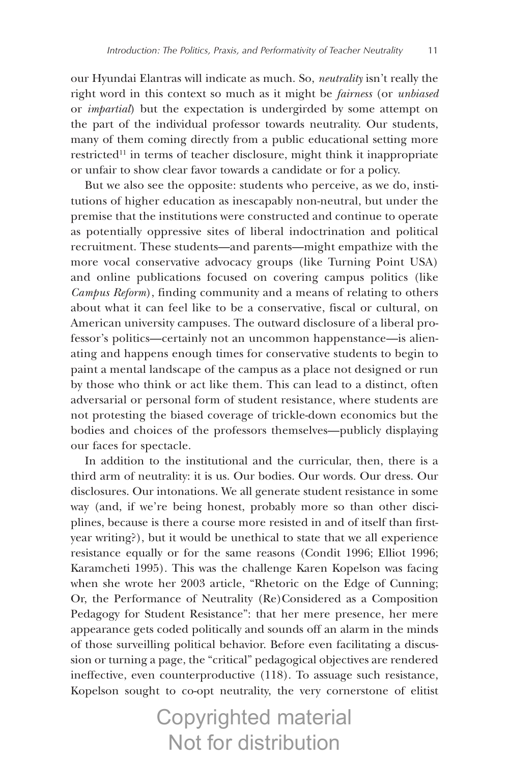our Hyundai Elantras will indicate as much. So, *neutrality* isn't really the right word in this context so much as it might be *fairness* (or *unbiased* or *impartial*) but the expectation is undergirded by some attempt on the part of the individual professor towards neutrality. Our students, many of them coming directly from a public educational setting more restricted<sup>11</sup> in terms of teacher disclosure, might think it inappropriate or unfair to show clear favor towards a candidate or for a policy.

But we also see the opposite: students who perceive, as we do, institutions of higher education as inescapably non-neutral, but under the premise that the institutions were constructed and continue to operate as potentially oppressive sites of liberal indoctrination and political recruitment. These students—and parents—might empathize with the more vocal conservative advocacy groups (like Turning Point USA) and online publications focused on covering campus politics (like *Campus Reform*), finding community and a means of relating to others about what it can feel like to be a conservative, fiscal or cultural, on American university campuses. The outward disclosure of a liberal professor's politics—certainly not an uncommon happenstance—is alienating and happens enough times for conservative students to begin to paint a mental landscape of the campus as a place not designed or run by those who think or act like them. This can lead to a distinct, often adversarial or personal form of student resistance, where students are not protesting the biased coverage of trickle-down economics but the bodies and choices of the professors themselves—publicly displaying our faces for spectacle.

In addition to the institutional and the curricular, then, there is a third arm of neutrality: it is us. Our bodies. Our words. Our dress. Our disclosures. Our intonations. We all generate student resistance in some way (and, if we're being honest, probably more so than other disciplines, because is there a course more resisted in and of itself than firstyear writing?), but it would be unethical to state that we all experience resistance equally or for the same reasons (Condit 1996; Elliot 1996; Karamcheti 1995). This was the challenge Karen Kopelson was facing when she wrote her 2003 article, "Rhetoric on the Edge of Cunning; Or, the Performance of Neutrality (Re)Considered as a Composition Pedagogy for Student Resistance": that her mere presence, her mere appearance gets coded politically and sounds off an alarm in the minds of those surveilling political behavior. Before even facilitating a discussion or turning a page, the "critical" pedagogical objectives are rendered ineffective, even counterproductive (118). To assuage such resistance, Kopelson sought to co-opt neutrality, the very cornerstone of elitist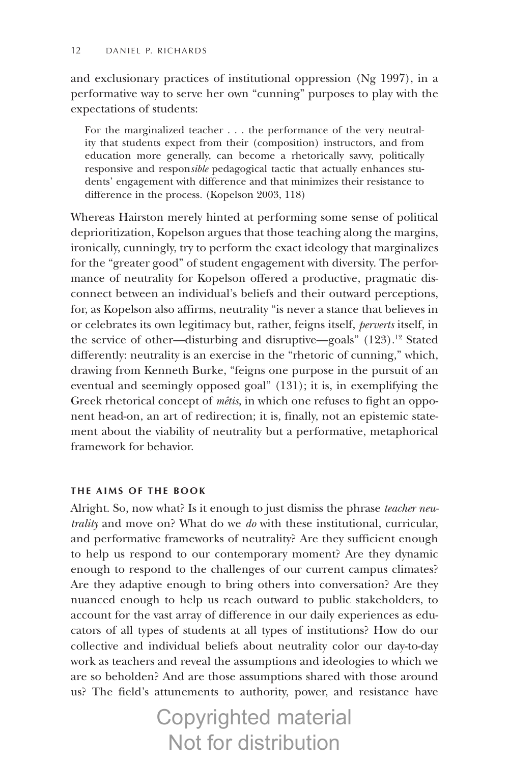and exclusionary practices of institutional oppression (Ng 1997), in a performative way to serve her own "cunning" purposes to play with the expectations of students:

For the marginalized teacher . . . the performance of the very neutrality that students expect from their (composition) instructors, and from education more generally, can become a rhetorically savvy, politically responsive and respon*sible* pedagogical tactic that actually enhances students' engagement with difference and that minimizes their resistance to difference in the process. (Kopelson 2003, 118)

Whereas Hairston merely hinted at performing some sense of political deprioritization, Kopelson argues that those teaching along the margins, ironically, cunningly, try to perform the exact ideology that marginalizes for the "greater good" of student engagement with diversity. The performance of neutrality for Kopelson offered a productive, pragmatic disconnect between an individual's beliefs and their outward perceptions, for, as Kopelson also affirms, neutrality "is never a stance that believes in or celebrates its own legitimacy but, rather, feigns itself, *perverts* itself, in the service of other—disturbing and disruptive—goals" (123).<sup>12</sup> Stated differently: neutrality is an exercise in the "rhetoric of cunning," which, drawing from Kenneth Burke, "feigns one purpose in the pursuit of an eventual and seemingly opposed goal" (131); it is, in exemplifying the Greek rhetorical concept of *mêtis*, in which one refuses to fight an opponent head-on, an art of redirection; it is, finally, not an epistemic statement about the viability of neutrality but a performative, metaphorical framework for behavior.

### **THE AIMS OF THE BOOK**

Alright. So, now what? Is it enough to just dismiss the phrase *teacher neutrality* and move on? What do we *do* with these institutional, curricular, and performative frameworks of neutrality? Are they sufficient enough to help us respond to our contemporary moment? Are they dynamic enough to respond to the challenges of our current campus climates? Are they adaptive enough to bring others into conversation? Are they nuanced enough to help us reach outward to public stakeholders, to account for the vast array of difference in our daily experiences as educators of all types of students at all types of institutions? How do our collective and individual beliefs about neutrality color our day-to-day work as teachers and reveal the assumptions and ideologies to which we are so beholden? And are those assumptions shared with those around us? The field's attunements to authority, power, and resistance have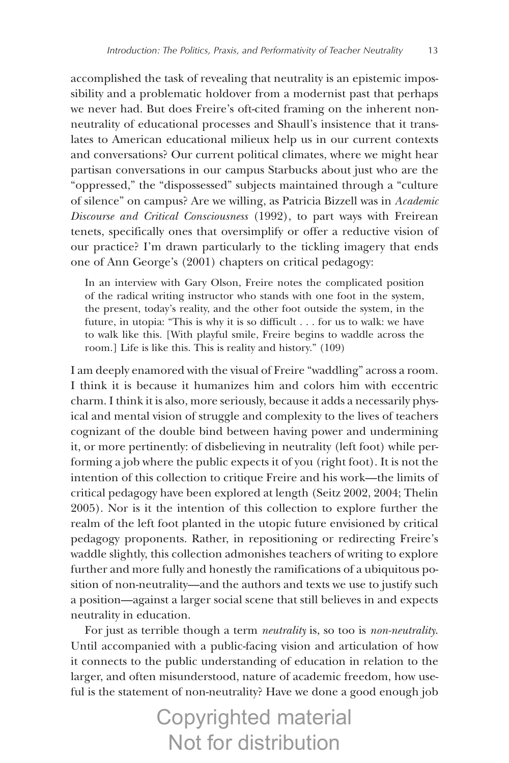accomplished the task of revealing that neutrality is an epistemic impossibility and a problematic holdover from a modernist past that perhaps we never had. But does Freire's oft-cited framing on the inherent nonneutrality of educational processes and Shaull's insistence that it translates to American educational milieux help us in our current contexts and conversations? Our current political climates, where we might hear partisan conversations in our campus Starbucks about just who are the "oppressed," the "dispossessed" subjects maintained through a "culture of silence" on campus? Are we willing, as Patricia Bizzell was in *Academic Discourse and Critical Consciousness* (1992), to part ways with Freirean tenets, specifically ones that oversimplify or offer a reductive vision of our practice? I'm drawn particularly to the tickling imagery that ends one of Ann George's (2001) chapters on critical pedagogy:

In an interview with Gary Olson, Freire notes the complicated position of the radical writing instructor who stands with one foot in the system, the present, today's reality, and the other foot outside the system, in the future, in utopia: "This is why it is so difficult . . . for us to walk: we have to walk like this. [With playful smile, Freire begins to waddle across the room.] Life is like this. This is reality and history." (109)

I am deeply enamored with the visual of Freire "waddling" across a room. I think it is because it humanizes him and colors him with eccentric charm. I think it is also, more seriously, because it adds a necessarily physical and mental vision of struggle and complexity to the lives of teachers cognizant of the double bind between having power and undermining it, or more pertinently: of disbelieving in neutrality (left foot) while performing a job where the public expects it of you (right foot). It is not the intention of this collection to critique Freire and his work—the limits of critical pedagogy have been explored at length (Seitz 2002, 2004; Thelin 2005). Nor is it the intention of this collection to explore further the realm of the left foot planted in the utopic future envisioned by critical pedagogy proponents. Rather, in repositioning or redirecting Freire's waddle slightly, this collection admonishes teachers of writing to explore further and more fully and honestly the ramifications of a ubiquitous position of non-neutrality—and the authors and texts we use to justify such a position—against a larger social scene that still believes in and expects neutrality in education.

For just as terrible though a term *neutrality* is, so too is *non-neutrality*. Until accompanied with a public-facing vision and articulation of how it connects to the public understanding of education in relation to the larger, and often misunderstood, nature of academic freedom, how useful is the statement of non-neutrality? Have we done a good enough job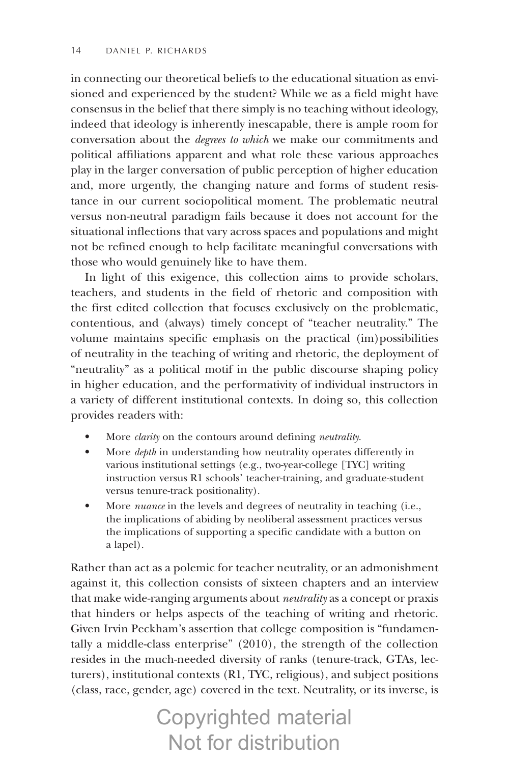in connecting our theoretical beliefs to the educational situation as envisioned and experienced by the student? While we as a field might have consensus in the belief that there simply is no teaching without ideology, indeed that ideology is inherently inescapable, there is ample room for conversation about the *degrees to which* we make our commitments and political affiliations apparent and what role these various approaches play in the larger conversation of public perception of higher education and, more urgently, the changing nature and forms of student resistance in our current sociopolitical moment. The problematic neutral versus non-neutral paradigm fails because it does not account for the situational inflections that vary across spaces and populations and might not be refined enough to help facilitate meaningful conversations with those who would genuinely like to have them.

In light of this exigence, this collection aims to provide scholars, teachers, and students in the field of rhetoric and composition with the first edited collection that focuses exclusively on the problematic, contentious, and (always) timely concept of "teacher neutrality." The volume maintains specific emphasis on the practical (im)possibilities of neutrality in the teaching of writing and rhetoric, the deployment of "neutrality" as a political motif in the public discourse shaping policy in higher education, and the performativity of individual instructors in a variety of different institutional contexts. In doing so, this collection provides readers with:

- More *clarity* on the contours around defining *neutrality*.
- More *depth* in understanding how neutrality operates differently in various institutional settings (e.g., two-year-college [TYC] writing instruction versus R1 schools' teacher-training, and graduate-student versus tenure-track positionality).
- More *nuance* in the levels and degrees of neutrality in teaching (i.e., the implications of abiding by neoliberal assessment practices versus the implications of supporting a specific candidate with a button on a lapel).

Rather than act as a polemic for teacher neutrality, or an admonishment against it, this collection consists of sixteen chapters and an interview that make wide-ranging arguments about *neutrality* as a concept or praxis that hinders or helps aspects of the teaching of writing and rhetoric. Given Irvin Peckham's assertion that college composition is "fundamentally a middle-class enterprise" (2010), the strength of the collection resides in the much-needed diversity of ranks (tenure-track, GTAs, lecturers), institutional contexts (R1, TYC, religious), and subject positions (class, race, gender, age) covered in the text. Neutrality, or its inverse, is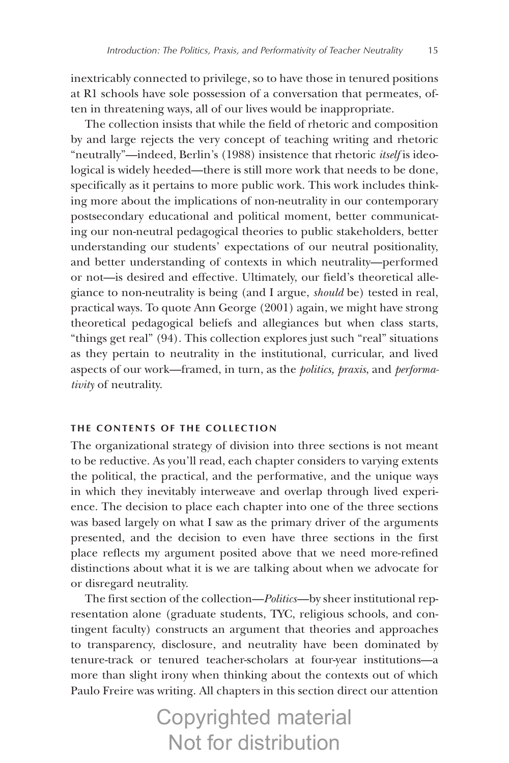inextricably connected to privilege, so to have those in tenured positions at R1 schools have sole possession of a conversation that permeates, often in threatening ways, all of our lives would be inappropriate.

The collection insists that while the field of rhetoric and composition by and large rejects the very concept of teaching writing and rhetoric "neutrally"—indeed, Berlin's (1988) insistence that rhetoric *itself* is ideological is widely heeded—there is still more work that needs to be done, specifically as it pertains to more public work. This work includes thinking more about the implications of non-neutrality in our contemporary postsecondary educational and political moment, better communicating our non-neutral pedagogical theories to public stakeholders, better understanding our students' expectations of our neutral positionality, and better understanding of contexts in which neutrality—performed or not—is desired and effective. Ultimately, our field's theoretical allegiance to non-neutrality is being (and I argue, *should* be) tested in real, practical ways. To quote Ann George (2001) again, we might have strong theoretical pedagogical beliefs and allegiances but when class starts, "things get real" (94). This collection explores just such "real" situations as they pertain to neutrality in the institutional, curricular, and lived aspects of our work—framed, in turn, as the *politics, praxis*, and *performativity* of neutrality.

### **THE CONTENTS OF THE COLLECTION**

The organizational strategy of division into three sections is not meant to be reductive. As you'll read, each chapter considers to varying extents the political, the practical, and the performative, and the unique ways in which they inevitably interweave and overlap through lived experience. The decision to place each chapter into one of the three sections was based largely on what I saw as the primary driver of the arguments presented, and the decision to even have three sections in the first place reflects my argument posited above that we need more-refined distinctions about what it is we are talking about when we advocate for or disregard neutrality.

The first section of the collection—*Politics*—by sheer institutional representation alone (graduate students, TYC, religious schools, and contingent faculty) constructs an argument that theories and approaches to transparency, disclosure, and neutrality have been dominated by tenure-track or tenured teacher-scholars at four-year institutions—a more than slight irony when thinking about the contexts out of which Paulo Freire was writing. All chapters in this section direct our attention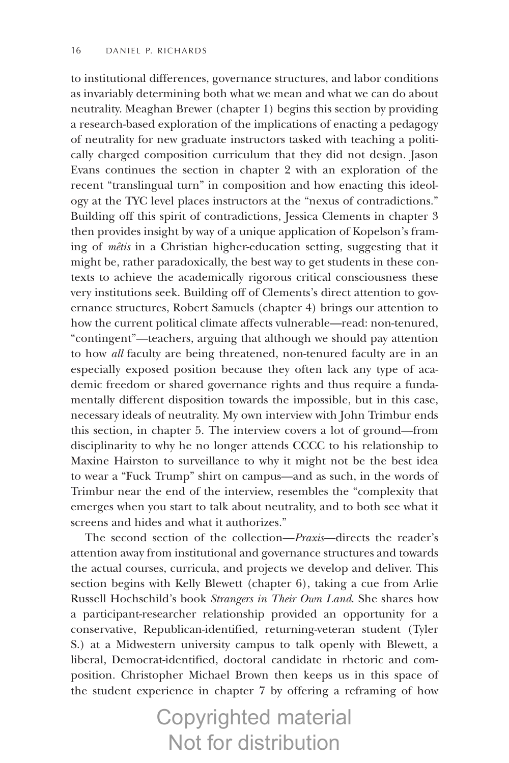to institutional differences, governance structures, and labor conditions as invariably determining both what we mean and what we can do about neutrality. Meaghan Brewer (chapter 1) begins this section by providing a research-based exploration of the implications of enacting a pedagogy of neutrality for new graduate instructors tasked with teaching a politically charged composition curriculum that they did not design. Jason Evans continues the section in chapter 2 with an exploration of the recent "translingual turn" in composition and how enacting this ideology at the TYC level places instructors at the "nexus of contradictions." Building off this spirit of contradictions, Jessica Clements in chapter 3 then provides insight by way of a unique application of Kopelson's framing of *mêtis* in a Christian higher-education setting, suggesting that it might be, rather paradoxically, the best way to get students in these contexts to achieve the academically rigorous critical consciousness these very institutions seek. Building off of Clements's direct attention to governance structures, Robert Samuels (chapter 4) brings our attention to how the current political climate affects vulnerable—read: non-tenured, "contingent"—teachers, arguing that although we should pay attention to how *all* faculty are being threatened, non-tenured faculty are in an especially exposed position because they often lack any type of academic freedom or shared governance rights and thus require a fundamentally different disposition towards the impossible, but in this case, necessary ideals of neutrality. My own interview with John Trimbur ends this section, in chapter 5. The interview covers a lot of ground—from disciplinarity to why he no longer attends CCCC to his relationship to Maxine Hairston to surveillance to why it might not be the best idea to wear a "Fuck Trump" shirt on campus—and as such, in the words of Trimbur near the end of the interview, resembles the "complexity that emerges when you start to talk about neutrality, and to both see what it screens and hides and what it authorizes."

The second section of the collection—*Praxis*—directs the reader's attention away from institutional and governance structures and towards the actual courses, curricula, and projects we develop and deliver. This section begins with Kelly Blewett (chapter 6), taking a cue from Arlie Russell Hochschild's book *Strangers in Their Own Land*. She shares how a participant-researcher relationship provided an opportunity for a conservative, Republican-identified, returning-veteran student (Tyler S.) at a Midwestern university campus to talk openly with Blewett, a liberal, Democrat-identified, doctoral candidate in rhetoric and composition. Christopher Michael Brown then keeps us in this space of the student experience in chapter 7 by offering a reframing of how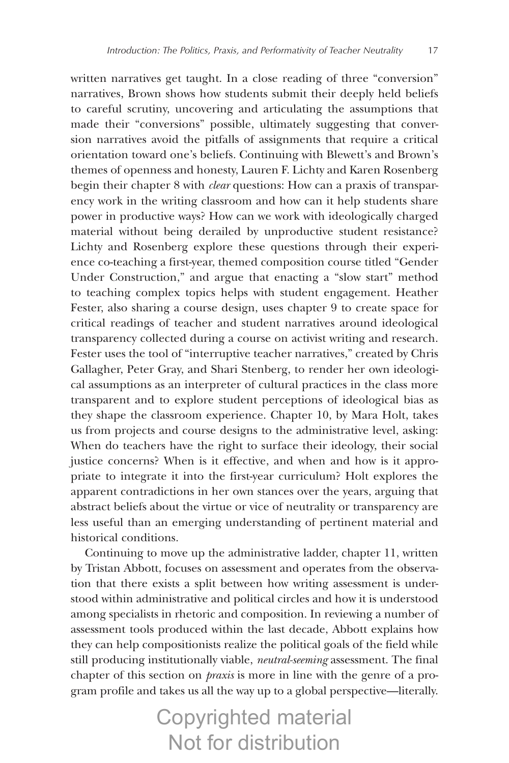written narratives get taught. In a close reading of three "conversion" narratives, Brown shows how students submit their deeply held beliefs to careful scrutiny, uncovering and articulating the assumptions that made their "conversions" possible, ultimately suggesting that conversion narratives avoid the pitfalls of assignments that require a critical orientation toward one's beliefs. Continuing with Blewett's and Brown's themes of openness and honesty, Lauren F. Lichty and Karen Rosenberg begin their chapter 8 with *clear* questions: How can a praxis of transparency work in the writing classroom and how can it help students share power in productive ways? How can we work with ideologically charged material without being derailed by unproductive student resistance? Lichty and Rosenberg explore these questions through their experience co-teaching a first-year, themed composition course titled "Gender Under Construction," and argue that enacting a "slow start" method to teaching complex topics helps with student engagement. Heather Fester, also sharing a course design, uses chapter 9 to create space for critical readings of teacher and student narratives around ideological transparency collected during a course on activist writing and research. Fester uses the tool of "interruptive teacher narratives," created by Chris Gallagher, Peter Gray, and Shari Stenberg, to render her own ideological assumptions as an interpreter of cultural practices in the class more transparent and to explore student perceptions of ideological bias as they shape the classroom experience. Chapter 10, by Mara Holt, takes us from projects and course designs to the administrative level, asking: When do teachers have the right to surface their ideology, their social justice concerns? When is it effective, and when and how is it appropriate to integrate it into the first-year curriculum? Holt explores the apparent contradictions in her own stances over the years, arguing that abstract beliefs about the virtue or vice of neutrality or transparency are less useful than an emerging understanding of pertinent material and historical conditions.

Continuing to move up the administrative ladder, chapter 11, written by Tristan Abbott, focuses on assessment and operates from the observation that there exists a split between how writing assessment is understood within administrative and political circles and how it is understood among specialists in rhetoric and composition. In reviewing a number of assessment tools produced within the last decade, Abbott explains how they can help compositionists realize the political goals of the field while still producing institutionally viable, *neutral-seeming* assessment. The final chapter of this section on *praxis* is more in line with the genre of a program profile and takes us all the way up to a global perspective—literally.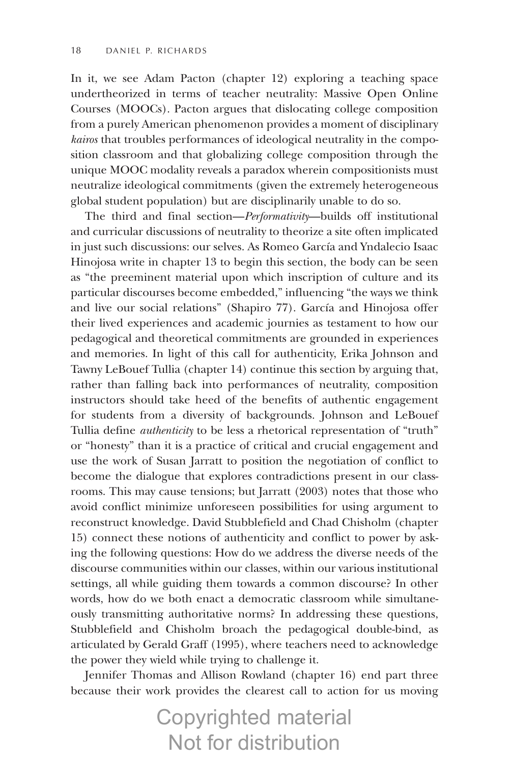In it, we see Adam Pacton (chapter 12) exploring a teaching space undertheorized in terms of teacher neutrality: Massive Open Online Courses (MOOCs). Pacton argues that dislocating college composition from a purely American phenomenon provides a moment of disciplinary *kairos* that troubles performances of ideological neutrality in the composition classroom and that globalizing college composition through the unique MOOC modality reveals a paradox wherein compositionists must neutralize ideological commitments (given the extremely heterogeneous global student population) but are disciplinarily unable to do so.

The third and final section—*Performativity*—builds off institutional and curricular discussions of neutrality to theorize a site often implicated in just such discussions: our selves. As Romeo García and Yndalecio Isaac Hinojosa write in chapter 13 to begin this section, the body can be seen as "the preeminent material upon which inscription of culture and its particular discourses become embedded," influencing "the ways we think and live our social relations" (Shapiro 77). García and Hinojosa offer their lived experiences and academic journies as testament to how our pedagogical and theoretical commitments are grounded in experiences and memories. In light of this call for authenticity, Erika Johnson and Tawny LeBouef Tullia (chapter 14) continue this section by arguing that, rather than falling back into performances of neutrality, composition instructors should take heed of the benefits of authentic engagement for students from a diversity of backgrounds. Johnson and LeBouef Tullia define *authenticity* to be less a rhetorical representation of "truth" or "honesty" than it is a practice of critical and crucial engagement and use the work of Susan Jarratt to position the negotiation of conflict to become the dialogue that explores contradictions present in our classrooms. This may cause tensions; but Jarratt (2003) notes that those who avoid conflict minimize unforeseen possibilities for using argument to reconstruct knowledge. David Stubblefield and Chad Chisholm (chapter 15) connect these notions of authenticity and conflict to power by asking the following questions: How do we address the diverse needs of the discourse communities within our classes, within our various institutional settings, all while guiding them towards a common discourse? In other words, how do we both enact a democratic classroom while simultaneously transmitting authoritative norms? In addressing these questions, Stubblefield and Chisholm broach the pedagogical double-bind, as articulated by Gerald Graff (1995), where teachers need to acknowledge the power they wield while trying to challenge it.

Jennifer Thomas and Allison Rowland (chapter 16) end part three because their work provides the clearest call to action for us moving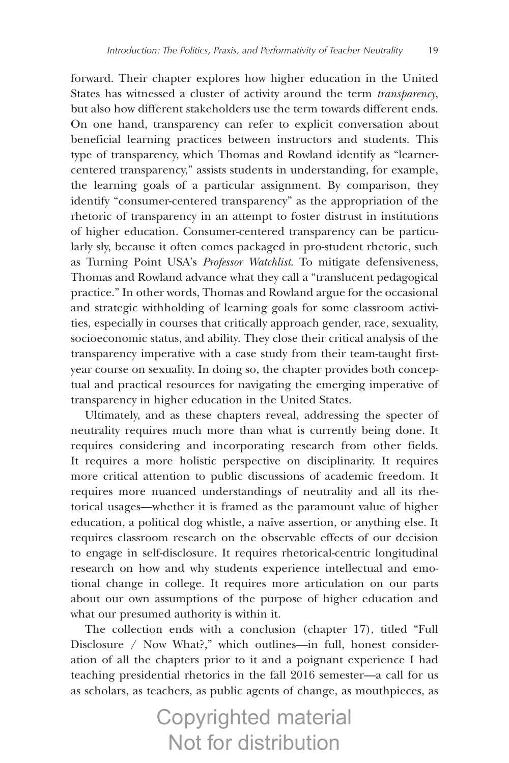forward. Their chapter explores how higher education in the United States has witnessed a cluster of activity around the term *transparency*, but also how different stakeholders use the term towards different ends. On one hand, transparency can refer to explicit conversation about beneficial learning practices between instructors and students. This type of transparency, which Thomas and Rowland identify as "learnercentered transparency," assists students in understanding, for example, the learning goals of a particular assignment. By comparison, they identify "consumer-centered transparency" as the appropriation of the rhetoric of transparency in an attempt to foster distrust in institutions of higher education. Consumer-centered transparency can be particularly sly, because it often comes packaged in pro-student rhetoric, such as Turning Point USA's *Professor Watchlist*. To mitigate defensiveness, Thomas and Rowland advance what they call a "translucent pedagogical practice." In other words, Thomas and Rowland argue for the occasional and strategic withholding of learning goals for some classroom activities, especially in courses that critically approach gender, race, sexuality, socioeconomic status, and ability. They close their critical analysis of the transparency imperative with a case study from their team-taught firstyear course on sexuality. In doing so, the chapter provides both conceptual and practical resources for navigating the emerging imperative of transparency in higher education in the United States.

Ultimately, and as these chapters reveal, addressing the specter of neutrality requires much more than what is currently being done. It requires considering and incorporating research from other fields. It requires a more holistic perspective on disciplinarity. It requires more critical attention to public discussions of academic freedom. It requires more nuanced understandings of neutrality and all its rhetorical usages—whether it is framed as the paramount value of higher education, a political dog whistle, a naïve assertion, or anything else. It requires classroom research on the observable effects of our decision to engage in self-disclosure. It requires rhetorical-centric longitudinal research on how and why students experience intellectual and emotional change in college. It requires more articulation on our parts about our own assumptions of the purpose of higher education and what our presumed authority is within it.

The collection ends with a conclusion (chapter 17), titled "Full Disclosure / Now What?," which outlines—in full, honest consideration of all the chapters prior to it and a poignant experience I had teaching presidential rhetorics in the fall 2016 semester—a call for us as scholars, as teachers, as public agents of change, as mouthpieces, as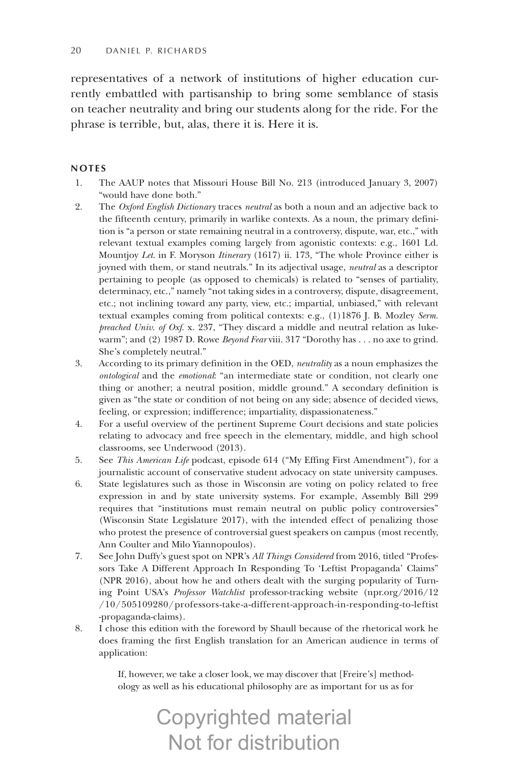representatives of a network of institutions of higher education currently embattled with partisanship to bring some semblance of stasis on teacher neutrality and bring our students along for the ride. For the phrase is terrible, but, alas, there it is. Here it is.

#### **NOTES**

- 1. The AAUP notes that Missouri House Bill No. 213 (introduced January 3, 2007) "would have done both."
- 2. The *Oxford English Dictionary* traces *neutral* as both a noun and an adjective back to the fifteenth century, primarily in warlike contexts. As a noun, the primary definition is "a person or state remaining neutral in a controversy, dispute, war, etc.," with relevant textual examples coming largely from agonistic contexts: e.g., 1601 Ld. Mountjoy *Let*. in F. Moryson *Itinerary* (1617) ii. 173, "The whole Province either is joyned with them, or stand neutrals." In its adjectival usage, *neutral* as a descriptor pertaining to people (as opposed to chemicals) is related to "senses of partiality, determinacy, etc.," namely "not taking sides in a controversy, dispute, disagreement, etc.; not inclining toward any party, view, etc.; impartial, unbiased," with relevant textual examples coming from political contexts: e.g., (1)1876 J. B. Mozley *Serm. preached Univ. of Oxf*. x. 237, "They discard a middle and neutral relation as lukewarm"; and (2) 1987 D. Rowe *Beyond Fear* viii. 317 "Dorothy has . . . no axe to grind. She's completely neutral."
- 3. According to its primary definition in the OED, *neutrality* as a noun emphasizes the *ontological* and the *emotional*: "an intermediate state or condition, not clearly one thing or another; a neutral position, middle ground." A secondary definition is given as "the state or condition of not being on any side; absence of decided views, feeling, or expression; indifference; impartiality, dispassionateness."
- 4. For a useful overview of the pertinent Supreme Court decisions and state policies relating to advocacy and free speech in the elementary, middle, and high school classrooms, see Underwood (2013).
- 5. See *This American Life* podcast, episode 614 ("My Effing First Amendment"), for a journalistic account of conservative student advocacy on state university campuses.
- 6. State legislatures such as those in Wisconsin are voting on policy related to free expression in and by state university systems. For example, Assembly Bill 299 requires that "institutions must remain neutral on public policy controversies" (Wisconsin State Legislature 2017), with the intended effect of penalizing those who protest the presence of controversial guest speakers on campus (most recently, Ann Coulter and Milo Yiannopoulos).
- 7. See John Duffy's guest spot on NPR's *All Things Considered* from 2016, titled "Professors Take A Different Approach In Responding To 'Leftist Propaganda' Claims" (NPR 2016), about how he and others dealt with the surging popularity of Turning Point USA's *Professor Watchlist* professor-tracking website (npr.org/2016/12 /10/505109280/professors-take-a-different-approach-in-responding-to-leftist -propaganda-claims).
- 8. I chose this edition with the foreword by Shaull because of the rhetorical work he does framing the first English translation for an American audience in terms of application:

If, however, we take a closer look, we may discover that [Freire's] methodology as well as his educational philosophy are as important for us as for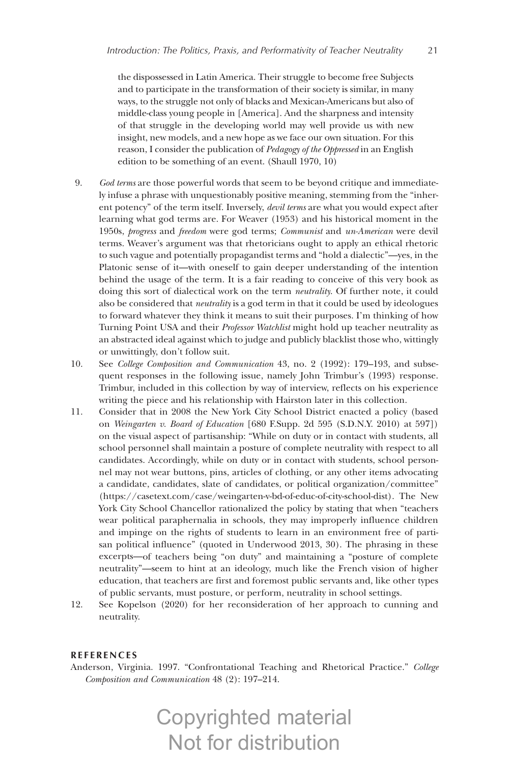the dispossessed in Latin America. Their struggle to become free Subjects and to participate in the transformation of their society is similar, in many ways, to the struggle not only of blacks and Mexican-Americans but also of middle-class young people in [America]. And the sharpness and intensity of that struggle in the developing world may well provide us with new insight, new models, and a new hope as we face our own situation. For this reason, I consider the publication of *Pedagogy of the Oppressed* in an English edition to be something of an event. (Shaull 1970, 10)

- 9. *God terms* are those powerful words that seem to be beyond critique and immediately infuse a phrase with unquestionably positive meaning, stemming from the "inherent potency" of the term itself. Inversely, *devil terms* are what you would expect after learning what god terms are. For Weaver (1953) and his historical moment in the 1950s, *progress* and *freedom* were god terms; *Communist* and *un-American* were devil terms. Weaver's argument was that rhetoricians ought to apply an ethical rhetoric to such vague and potentially propagandist terms and "hold a dialectic"—yes, in the Platonic sense of it—with oneself to gain deeper understanding of the intention behind the usage of the term. It is a fair reading to conceive of this very book as doing this sort of dialectical work on the term *neutrality*. Of further note, it could also be considered that *neutrality* is a god term in that it could be used by ideologues to forward whatever they think it means to suit their purposes. I'm thinking of how Turning Point USA and their *Professor Watchlist* might hold up teacher neutrality as an abstracted ideal against which to judge and publicly blacklist those who, wittingly or unwittingly, don't follow suit.
- 10. See *College Composition and Communication* 43, no. 2 (1992): 179–193, and subsequent responses in the following issue, namely John Trimbur's (1993) response. Trimbur, included in this collection by way of interview, reflects on his experience writing the piece and his relationship with Hairston later in this collection.
- 11. Consider that in 2008 the New York City School District enacted a policy (based on *Weingarten v. Board of Education* [680 F.Supp. 2d 595 (S.D.N.Y. 2010) at 597]) on the visual aspect of partisanship: "While on duty or in contact with students, all school personnel shall maintain a posture of complete neutrality with respect to all candidates. Accordingly, while on duty or in contact with students, school personnel may not wear buttons, pins, articles of clothing, or any other items advocating a candidate, candidates, slate of candidates, or political organization/committee" (https://casetext.com/case/weingarten-v-bd-of-educ-of-city-school-dist). The New York City School Chancellor rationalized the policy by stating that when "teachers wear political paraphernalia in schools, they may improperly influence children and impinge on the rights of students to learn in an environment free of partisan political influence" (quoted in Underwood 2013, 30). The phrasing in these excerpts—of teachers being "on duty" and maintaining a "posture of complete neutrality"—seem to hint at an ideology, much like the French vision of higher education, that teachers are first and foremost public servants and, like other types of public servants, must posture, or perform, neutrality in school settings.
- 12. See Kopelson (2020) for her reconsideration of her approach to cunning and neutrality.

#### **REFERENCES**

Anderson, Virginia. 1997. "Confrontational Teaching and Rhetorical Practice." *College Composition and Communication* 48 (2): 197–214.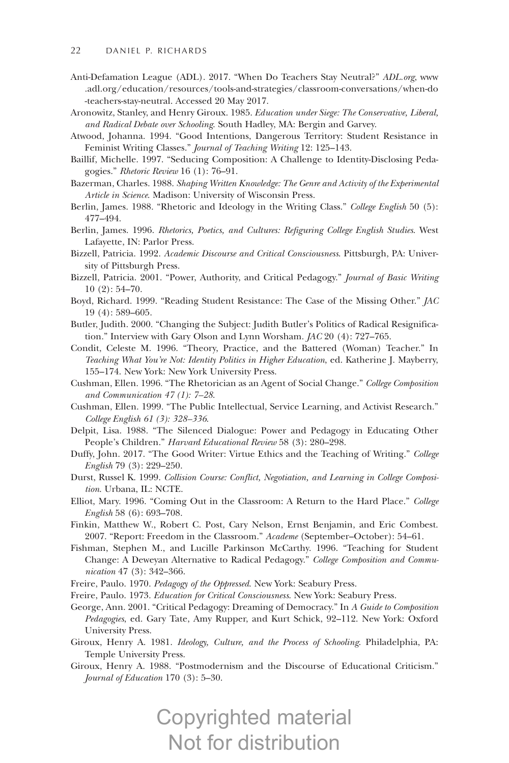- Anti-Defamation League (ADL). 2017. "When Do Teachers Stay Neutral?" *ADL.org*, www .adl.org/education/resources/tools-and-strategies/classroom-conversations/when-do -teachers-stay-neutral. Accessed 20 May 2017.
- Aronowitz, Stanley, and Henry Giroux. 1985. *Education under Siege: The Conservative, Liberal, and Radical Debate over Schooling*. South Hadley, MA: Bergin and Garvey.
- Atwood, Johanna. 1994. "Good Intentions, Dangerous Territory: Student Resistance in Feminist Writing Classes." *Journal of Teaching Writing* 12: 125–143.
- Baillif, Michelle. 1997. "Seducing Composition: A Challenge to Identity-Disclosing Pedagogies." *Rhetoric Review* 16 (1): 76–91.
- Bazerman, Charles. 1988. *Shaping Written Knowledge: The Genre and Activity of the Experimental Article in Science*. Madison: University of Wisconsin Press.
- Berlin, James. 1988. "Rhetoric and Ideology in the Writing Class." *College English* 50 (5): 477–494.
- Berlin, James. 1996. *Rhetorics, Poetics, and Cultures: Refiguring College English Studies*. West Lafayette, IN: Parlor Press.
- Bizzell, Patricia. 1992. *Academic Discourse and Critical Consciousness*. Pittsburgh, PA: University of Pittsburgh Press.
- Bizzell, Patricia. 2001. "Power, Authority, and Critical Pedagogy." *Journal of Basic Writing* 10 (2): 54–70.
- Boyd, Richard. 1999. "Reading Student Resistance: The Case of the Missing Other." *JAC* 19 (4): 589–605.
- Butler, Judith. 2000. "Changing the Subject: Judith Butler's Politics of Radical Resignification." Interview with Gary Olson and Lynn Worsham. *JAC* 20 (4): 727–765.
- Condit, Celeste M. 1996. "Theory, Practice, and the Battered (Woman) Teacher." In *Teaching What You're Not: Identity Politics in Higher Education*, ed. Katherine J. Mayberry, 155–174. New York: New York University Press.
- Cushman, Ellen. 1996. "The Rhetorician as an Agent of Social Change." *College Composition and Communication 47 (1): 7–28*.
- Cushman, Ellen. 1999. "The Public Intellectual, Service Learning, and Activist Research." *College English 61 (3): 328–336*.
- Delpit, Lisa. 1988. "The Silenced Dialogue: Power and Pedagogy in Educating Other People's Children." *Harvard Educational Review* 58 (3): 280–298.
- Duffy, John. 2017. "The Good Writer: Virtue Ethics and the Teaching of Writing." *College English* 79 (3): 229–250.
- Durst, Russel K. 1999. *Collision Course: Conflict, Negotiation, and Learning in College Composition*. Urbana, IL: NCTE.
- Elliot, Mary. 1996. "Coming Out in the Classroom: A Return to the Hard Place." *College English* 58 (6): 693–708.
- Finkin, Matthew W., Robert C. Post, Cary Nelson, Ernst Benjamin, and Eric Combest. 2007. "Report: Freedom in the Classroom." *Academe* (September–October): 54–61.
- Fishman, Stephen M., and Lucille Parkinson McCarthy. 1996. "Teaching for Student Change: A Deweyan Alternative to Radical Pedagogy." *College Composition and Communication* 47 (3): 342–366.
- Freire, Paulo. 1970. *Pedagogy of the Oppressed*. New York: Seabury Press.
- Freire, Paulo. 1973. *Education for Critical Consciousness*. New York: Seabury Press.
- George, Ann. 2001. "Critical Pedagogy: Dreaming of Democracy." In *A Guide to Composition Pedagogies*, ed. Gary Tate, Amy Rupper, and Kurt Schick, 92–112. New York: Oxford University Press.
- Giroux, Henry A. 1981. *Ideology, Culture, and the Process of Schooling*. Philadelphia, PA: Temple University Press.
- Giroux, Henry A. 1988. "Postmodernism and the Discourse of Educational Criticism." *Journal of Education* 170 (3): 5–30.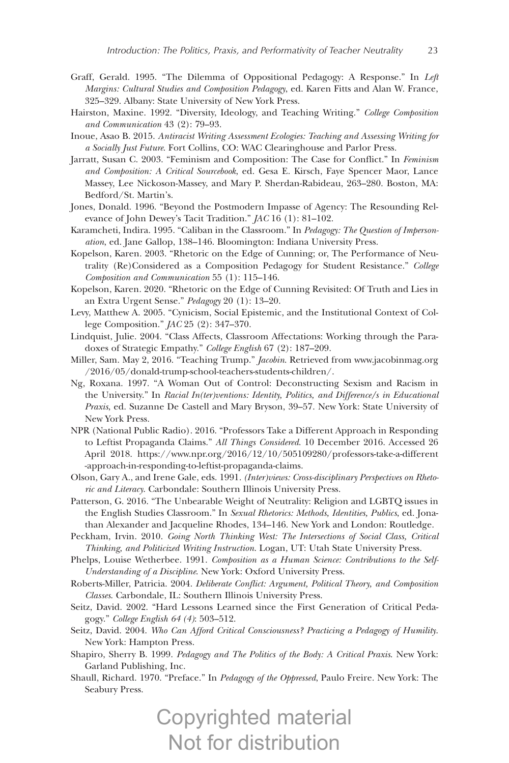- Graff, Gerald. 1995. "The Dilemma of Oppositional Pedagogy: A Response." In *Left Margins: Cultural Studies and Composition Pedagogy*, ed. Karen Fitts and Alan W. France, 325–329. Albany: State University of New York Press.
- Hairston, Maxine. 1992. "Diversity, Ideology, and Teaching Writing." *College Composition and Communication* 43 (2): 79–93.
- Inoue, Asao B. 2015. *Antiracist Writing Assessment Ecologies: Teaching and Assessing Writing for a Socially Just Future*. Fort Collins, CO: WAC Clearinghouse and Parlor Press.
- Jarratt, Susan C. 2003. "Feminism and Composition: The Case for Conflict." In *Feminism and Composition: A Critical Sourcebook*, ed. Gesa E. Kirsch, Faye Spencer Maor, Lance Massey, Lee Nickoson-Massey, and Mary P. Sherdan-Rabideau, 263–280. Boston, MA: Bedford/St. Martin's.
- Jones, Donald. 1996. "Beyond the Postmodern Impasse of Agency: The Resounding Relevance of John Dewey's Tacit Tradition." *JAC* 16 (1): 81–102.
- Karamcheti, Indira. 1995. "Caliban in the Classroom." In *Pedagogy: The Question of Impersonation*, ed. Jane Gallop, 138–146. Bloomington: Indiana University Press.
- Kopelson, Karen. 2003. "Rhetoric on the Edge of Cunning; or, The Performance of Neutrality (Re)Considered as a Composition Pedagogy for Student Resistance." *College Composition and Communication* 55 (1): 115–146.
- Kopelson, Karen. 2020. "Rhetoric on the Edge of Cunning Revisited: Of Truth and Lies in an Extra Urgent Sense." *Pedagogy* 20 (1): 13–20.
- Levy, Matthew A. 2005. "Cynicism, Social Epistemic, and the Institutional Context of College Composition." *JAC* 25 (2): 347–370.
- Lindquist, Julie. 2004. "Class Affects, Classroom Affectations: Working through the Paradoxes of Strategic Empathy." *College English* 67 (2): 187–209.
- Miller, Sam. May 2, 2016. "Teaching Trump." *Jacobin*. Retrieved from www.jacobinmag.org /2016/05/donald-trump-school-teachers-students-children/.
- Ng, Roxana. 1997. "A Woman Out of Control: Deconstructing Sexism and Racism in the University." In *Racial In(ter)ventions: Identity, Politics, and Difference/s in Educational Praxis*, ed. Suzanne De Castell and Mary Bryson, 39–57. New York: State University of New York Press.
- NPR (National Public Radio). 2016. "Professors Take a Different Approach in Responding to Leftist Propaganda Claims." *All Things Considered*. 10 December 2016. Accessed 26 April 2018. https://www.npr.org/2016/12/10/505109280/professors-take-a-different -approach-in-responding-to-leftist-propaganda-claims.
- Olson, Gary A., and Irene Gale, eds. 1991. *(Inter)views: Cross-disciplinary Perspectives on Rhetoric and Literacy*. Carbondale: Southern Illinois University Press.
- Patterson, G. 2016. "The Unbearable Weight of Neutrality: Religion and LGBTQ issues in the English Studies Classroom." In *Sexual Rhetorics: Methods, Identities, Publics*, ed. Jonathan Alexander and Jacqueline Rhodes, 134–146. New York and London: Routledge.
- Peckham, Irvin. 2010. *Going North Thinking West: The Intersections of Social Class, Critical Thinking, and Politicized Writing Instruction*. Logan, UT: Utah State University Press.
- Phelps, Louise Wetherbee. 1991. *Composition as a Human Science: Contributions to the Self-Understanding of a Discipline*. New York: Oxford University Press.
- Roberts-Miller, Patricia. 2004. *Deliberate Conflict: Argument, Political Theory, and Composition Classes*. Carbondale, IL: Southern Illinois University Press.
- Seitz, David. 2002. "Hard Lessons Learned since the First Generation of Critical Pedagogy." *College English 64 (4)*: 503–512.
- Seitz, David. 2004. *Who Can Afford Critical Consciousness? Practicing a Pedagogy of Humility*. New York: Hampton Press.
- Shapiro, Sherry B. 1999. *Pedagogy and The Politics of the Body: A Critical Praxis*. New York: Garland Publishing, Inc.
- Shaull, Richard. 1970. "Preface." In *Pedagogy of the Oppressed*, Paulo Freire. New York: The Seabury Press.